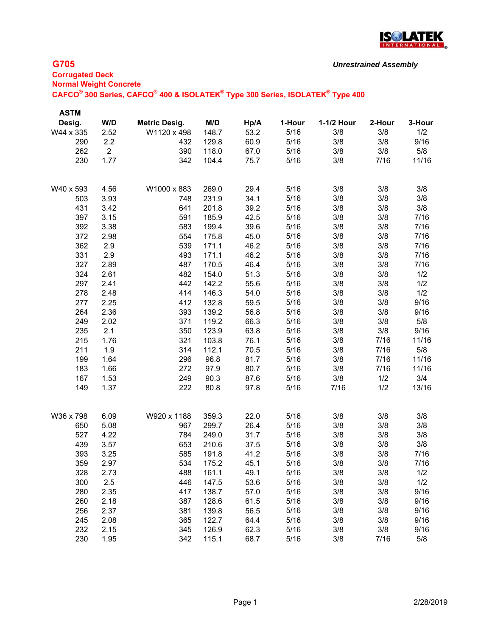

# **G705**

| <b>Corrugated Deck</b>                                                                                                        |  |
|-------------------------------------------------------------------------------------------------------------------------------|--|
| <b>Normal Weight Concrete</b>                                                                                                 |  |
| CAFCO <sup>®</sup> 300 Series, CAFCO <sup>®</sup> 400 & ISOLATEK <sup>®</sup> Type 300 Series, ISOLATEK <sup>®</sup> Type 400 |  |
|                                                                                                                               |  |

| <b>ASTM</b> |                |                      |       |      |        |            |        |        |
|-------------|----------------|----------------------|-------|------|--------|------------|--------|--------|
| Desig.      | W/D            | <b>Metric Desig.</b> | M/D   | Hp/A | 1-Hour | 1-1/2 Hour | 2-Hour | 3-Hour |
| W44 x 335   | 2.52           | W1120 x 498          | 148.7 | 53.2 | 5/16   | 3/8        | 3/8    | 1/2    |
| 290         | 2.2            | 432                  | 129.8 | 60.9 | 5/16   | 3/8        | 3/8    | 9/16   |
| 262         | $\overline{2}$ | 390                  | 118.0 | 67.0 | 5/16   | 3/8        | 3/8    | 5/8    |
| 230         | 1.77           | 342                  | 104.4 | 75.7 | 5/16   | 3/8        | 7/16   | 11/16  |
|             |                |                      |       |      |        |            |        |        |
| W40 x 593   | 4.56           | W1000 x 883          | 269.0 | 29.4 | 5/16   | 3/8        | 3/8    | 3/8    |
| 503         | 3.93           | 748                  | 231.9 | 34.1 | 5/16   | 3/8        | 3/8    | 3/8    |
| 431         | 3.42           | 641                  | 201.8 | 39.2 | 5/16   | 3/8        | 3/8    | 3/8    |
| 397         | 3.15           | 591                  | 185.9 | 42.5 | 5/16   | 3/8        | 3/8    | 7/16   |
| 392         | 3.38           | 583                  | 199.4 | 39.6 | 5/16   | 3/8        | 3/8    | 7/16   |
| 372         | 2.98           | 554                  | 175.8 | 45.0 | 5/16   | 3/8        | 3/8    | 7/16   |
| 362         | 2.9            | 539                  | 171.1 | 46.2 | 5/16   | 3/8        | 3/8    | 7/16   |
| 331         | 2.9            | 493                  | 171.1 | 46.2 | 5/16   | 3/8        | 3/8    | 7/16   |
| 327         | 2.89           | 487                  | 170.5 | 46.4 | 5/16   | 3/8        | 3/8    | 7/16   |
| 324         | 2.61           | 482                  | 154.0 | 51.3 | 5/16   | 3/8        | 3/8    | 1/2    |
| 297         | 2.41           | 442                  | 142.2 | 55.6 | 5/16   | 3/8        | 3/8    | 1/2    |
| 278         | 2.48           | 414                  | 146.3 | 54.0 | 5/16   | 3/8        | 3/8    | 1/2    |
| 277         | 2.25           | 412                  | 132.8 | 59.5 | 5/16   | 3/8        | 3/8    | 9/16   |
| 264         | 2.36           | 393                  | 139.2 | 56.8 | 5/16   | 3/8        | 3/8    | 9/16   |
| 249         | 2.02           | 371                  | 119.2 | 66.3 | 5/16   | 3/8        | 3/8    | 5/8    |
| 235         | 2.1            | 350                  | 123.9 | 63.8 | 5/16   | 3/8        | 3/8    | 9/16   |
| 215         | 1.76           | 321                  | 103.8 | 76.1 | 5/16   | 3/8        | 7/16   | 11/16  |
| 211         | 1.9            | 314                  | 112.1 | 70.5 | 5/16   | 3/8        | 7/16   | 5/8    |
| 199         | 1.64           | 296                  | 96.8  | 81.7 | 5/16   | 3/8        | 7/16   | 11/16  |
| 183         | 1.66           | 272                  | 97.9  | 80.7 | 5/16   | 3/8        | 7/16   | 11/16  |
| 167         | 1.53           | 249                  | 90.3  | 87.6 | 5/16   | 3/8        | 1/2    | 3/4    |
| 149         | 1.37           | 222                  | 80.8  | 97.8 | 5/16   | 7/16       | 1/2    | 13/16  |
|             |                |                      |       |      |        |            |        |        |
| W36 x 798   | 6.09           | W920 x 1188          | 359.3 | 22.0 | 5/16   | 3/8        | 3/8    | 3/8    |
| 650         | 5.08           | 967                  | 299.7 | 26.4 | 5/16   | 3/8        | 3/8    | 3/8    |
| 527         | 4.22           | 784                  | 249.0 | 31.7 | 5/16   | 3/8        | 3/8    | 3/8    |
| 439         | 3.57           | 653                  | 210.6 | 37.5 | 5/16   | 3/8        | 3/8    | 3/8    |
| 393         | 3.25           | 585                  | 191.8 | 41.2 | 5/16   | 3/8        | 3/8    | 7/16   |
| 359         | 2.97           | 534                  | 175.2 | 45.1 | 5/16   | 3/8        | 3/8    | 7/16   |
| 328         | 2.73           | 488                  | 161.1 | 49.1 | 5/16   | 3/8        | 3/8    | 1/2    |
| 300         | 2.5            | 446                  | 147.5 | 53.6 | 5/16   | 3/8        | 3/8    | 1/2    |
| 280         | 2.35           | 417                  | 138.7 | 57.0 | 5/16   | 3/8        | 3/8    | 9/16   |
| 260         | 2.18           | 387                  | 128.6 | 61.5 | 5/16   | 3/8        | 3/8    | 9/16   |
| 256         | 2.37           | 381                  | 139.8 | 56.5 | 5/16   | 3/8        | 3/8    | 9/16   |
| 245         | 2.08           | 365                  | 122.7 | 64.4 | 5/16   | 3/8        | 3/8    | 9/16   |
| 232         | 2.15           | 345                  | 126.9 | 62.3 | 5/16   | 3/8        | 3/8    | 9/16   |
| 230         | 1.95           | 342                  | 115.1 | 68.7 | 5/16   | 3/8        | 7/16   | 5/8    |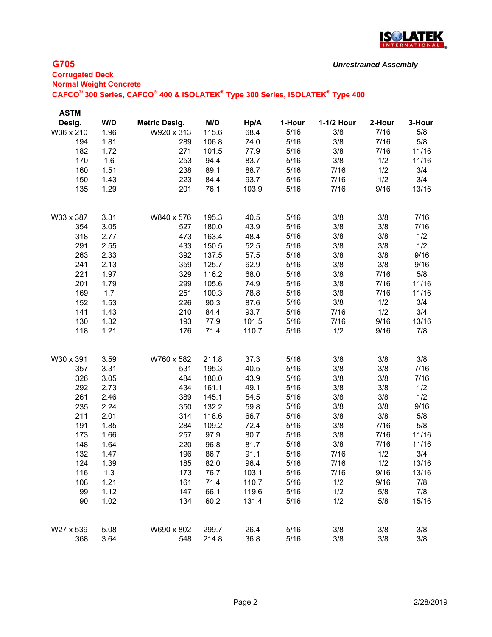

## **G705**

# **Corrugated Deck Normal Weight Concrete CAFCO® 300 Series, CAFCO® 400 & ISOLATEK® Type 300 Series, ISOLATEK® Type 400**

| <b>ASTM</b> |      |                      |       |       |        |            |        |        |
|-------------|------|----------------------|-------|-------|--------|------------|--------|--------|
| Desig.      | W/D  | <b>Metric Desig.</b> | M/D   | Hp/A  | 1-Hour | 1-1/2 Hour | 2-Hour | 3-Hour |
| W36 x 210   | 1.96 | W920 x 313           | 115.6 | 68.4  | 5/16   | 3/8        | 7/16   | 5/8    |
| 194         | 1.81 | 289                  | 106.8 | 74.0  | 5/16   | 3/8        | 7/16   | 5/8    |
| 182         | 1.72 | 271                  | 101.5 | 77.9  | 5/16   | 3/8        | 7/16   | 11/16  |
| 170         | 1.6  | 253                  | 94.4  | 83.7  | 5/16   | 3/8        | 1/2    | 11/16  |
| 160         | 1.51 | 238                  | 89.1  | 88.7  | 5/16   | 7/16       | 1/2    | 3/4    |
| 150         | 1.43 | 223                  | 84.4  | 93.7  | 5/16   | 7/16       | 1/2    | 3/4    |
| 135         | 1.29 | 201                  | 76.1  | 103.9 | 5/16   | 7/16       | 9/16   | 13/16  |
| W33 x 387   | 3.31 | W840 x 576           | 195.3 | 40.5  | 5/16   | 3/8        | 3/8    | 7/16   |
| 354         | 3.05 | 527                  | 180.0 | 43.9  | 5/16   | 3/8        | 3/8    | 7/16   |
| 318         | 2.77 | 473                  | 163.4 | 48.4  | 5/16   | 3/8        | 3/8    | 1/2    |
| 291         | 2.55 | 433                  | 150.5 | 52.5  | 5/16   | 3/8        | 3/8    | 1/2    |
| 263         | 2.33 | 392                  | 137.5 | 57.5  | 5/16   | 3/8        | 3/8    | 9/16   |
| 241         | 2.13 | 359                  | 125.7 | 62.9  | 5/16   | 3/8        | 3/8    | 9/16   |
| 221         | 1.97 | 329                  | 116.2 | 68.0  | 5/16   | 3/8        | 7/16   | 5/8    |
| 201         | 1.79 | 299                  | 105.6 | 74.9  | 5/16   | 3/8        | 7/16   | 11/16  |
| 169         | 1.7  | 251                  | 100.3 | 78.8  | 5/16   | 3/8        | 7/16   | 11/16  |
| 152         | 1.53 | 226                  | 90.3  | 87.6  | 5/16   | 3/8        | 1/2    | 3/4    |
| 141         | 1.43 | 210                  | 84.4  | 93.7  | 5/16   | 7/16       | 1/2    | 3/4    |
| 130         | 1.32 | 193                  | 77.9  | 101.5 | 5/16   | 7/16       | 9/16   | 13/16  |
| 118         | 1.21 | 176                  | 71.4  | 110.7 | 5/16   | 1/2        | 9/16   | 7/8    |
| W30 x 391   | 3.59 | W760 x 582           | 211.8 | 37.3  | 5/16   | 3/8        | 3/8    | 3/8    |
| 357         | 3.31 | 531                  | 195.3 | 40.5  | 5/16   | 3/8        | 3/8    | 7/16   |
| 326         | 3.05 | 484                  | 180.0 | 43.9  | 5/16   | 3/8        | 3/8    | 7/16   |
| 292         | 2.73 | 434                  | 161.1 | 49.1  | 5/16   | 3/8        | 3/8    | 1/2    |
| 261         | 2.46 | 389                  | 145.1 | 54.5  | 5/16   | 3/8        | 3/8    | 1/2    |
| 235         | 2.24 | 350                  | 132.2 | 59.8  | 5/16   | 3/8        | 3/8    | 9/16   |
| 211         | 2.01 | 314                  | 118.6 | 66.7  | 5/16   | 3/8        | 3/8    | 5/8    |
| 191         | 1.85 | 284                  | 109.2 | 72.4  | 5/16   | 3/8        | 7/16   | 5/8    |
| 173         | 1.66 | 257                  | 97.9  | 80.7  | 5/16   | 3/8        | 7/16   | 11/16  |
| 148         | 1.64 | 220                  | 96.8  | 81.7  | 5/16   | 3/8        | 7/16   | 11/16  |
| 132         | 1.47 | 196                  | 86.7  | 91.1  | 5/16   | 7/16       | 1/2    | 3/4    |
| 124         | 1.39 | 185                  | 82.0  | 96.4  | 5/16   | 7/16       | 1/2    | 13/16  |
| 116         | 1.3  | 173                  | 76.7  | 103.1 | 5/16   | 7/16       | 9/16   | 13/16  |
| 108         | 1.21 | 161                  | 71.4  | 110.7 | 5/16   | 1/2        | 9/16   | 7/8    |
| 99          | 1.12 | 147                  | 66.1  | 119.6 | 5/16   | 1/2        | 5/8    | 7/8    |
| 90          | 1.02 | 134                  | 60.2  | 131.4 | 5/16   | 1/2        | 5/8    | 15/16  |
| W27 x 539   | 5.08 | W690 x 802           | 299.7 | 26.4  | 5/16   | 3/8        | 3/8    | 3/8    |
| 368         | 3.64 | 548                  | 214.8 | 36.8  | 5/16   | 3/8        | 3/8    | 3/8    |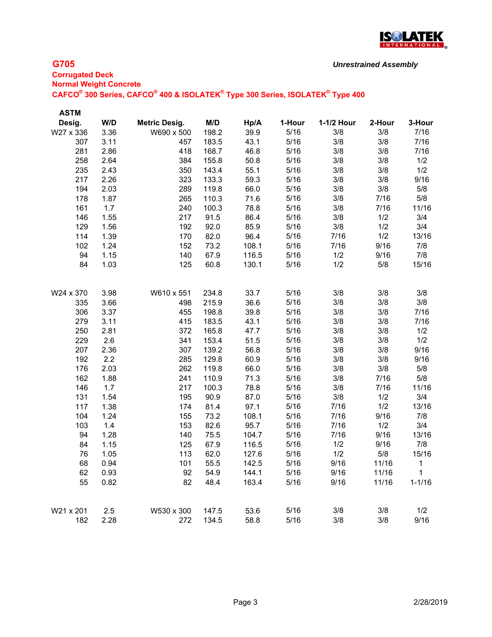

## **G705**

# **Corrugated Deck Normal Weight Concrete CAFCO® 300 Series, CAFCO® 400 & ISOLATEK® Type 300 Series, ISOLATEK® Type 400**

| <b>ASTM</b> |      |                      |       |       |        |            |        |            |
|-------------|------|----------------------|-------|-------|--------|------------|--------|------------|
| Desig.      | W/D  | <b>Metric Desig.</b> | M/D   | Hp/A  | 1-Hour | 1-1/2 Hour | 2-Hour | 3-Hour     |
| W27 x 336   | 3.36 | W690 x 500           | 198.2 | 39.9  | 5/16   | 3/8        | 3/8    | 7/16       |
| 307         | 3.11 | 457                  | 183.5 | 43.1  | 5/16   | 3/8        | 3/8    | 7/16       |
| 281         | 2.86 | 418                  | 168.7 | 46.8  | 5/16   | 3/8        | 3/8    | 7/16       |
| 258         | 2.64 | 384                  | 155.8 | 50.8  | 5/16   | 3/8        | 3/8    | 1/2        |
| 235         | 2.43 | 350                  | 143.4 | 55.1  | 5/16   | 3/8        | 3/8    | 1/2        |
| 217         | 2.26 | 323                  | 133.3 | 59.3  | 5/16   | 3/8        | 3/8    | 9/16       |
| 194         | 2.03 | 289                  | 119.8 | 66.0  | 5/16   | 3/8        | 3/8    | 5/8        |
| 178         | 1.87 | 265                  | 110.3 | 71.6  | 5/16   | 3/8        | 7/16   | 5/8        |
| 161         | 1.7  | 240                  | 100.3 | 78.8  | 5/16   | 3/8        | 7/16   | 11/16      |
| 146         | 1.55 | 217                  | 91.5  | 86.4  | 5/16   | 3/8        | 1/2    | 3/4        |
| 129         | 1.56 | 192                  | 92.0  | 85.9  | 5/16   | 3/8        | 1/2    | 3/4        |
| 114         | 1.39 | 170                  | 82.0  | 96.4  | 5/16   | 7/16       | 1/2    | 13/16      |
| 102         | 1.24 | 152                  | 73.2  | 108.1 | $5/16$ | 7/16       | 9/16   | 7/8        |
| 94          | 1.15 | 140                  | 67.9  | 116.5 | 5/16   | 1/2        | 9/16   | 7/8        |
| 84          | 1.03 | 125                  | 60.8  | 130.1 | 5/16   | 1/2        | 5/8    | 15/16      |
|             |      |                      |       |       |        |            |        |            |
| W24 x 370   | 3.98 | W610 x 551           | 234.8 | 33.7  | 5/16   | 3/8        | 3/8    | 3/8        |
| 335         | 3.66 | 498                  | 215.9 | 36.6  | 5/16   | 3/8        | 3/8    | 3/8        |
| 306         | 3.37 | 455                  | 198.8 | 39.8  | 5/16   | 3/8        | 3/8    | 7/16       |
| 279         | 3.11 | 415                  | 183.5 | 43.1  | 5/16   | 3/8        | 3/8    | 7/16       |
| 250         | 2.81 | 372                  | 165.8 | 47.7  | 5/16   | 3/8        | 3/8    | 1/2        |
| 229         | 2.6  | 341                  | 153.4 | 51.5  | 5/16   | 3/8        | 3/8    | 1/2        |
| 207         | 2.36 | 307                  | 139.2 | 56.8  | 5/16   | 3/8        | 3/8    | 9/16       |
| 192         | 2.2  | 285                  | 129.8 | 60.9  | 5/16   | 3/8        | 3/8    | 9/16       |
| 176         | 2.03 | 262                  | 119.8 | 66.0  | 5/16   | 3/8        | 3/8    | 5/8        |
| 162         | 1.88 | 241                  | 110.9 | 71.3  | 5/16   | 3/8        | 7/16   | 5/8        |
| 146         | 1.7  | 217                  | 100.3 | 78.8  | 5/16   | 3/8        | 7/16   | 11/16      |
| 131         | 1.54 | 195                  | 90.9  | 87.0  | 5/16   | 3/8        | 1/2    | 3/4        |
| 117         | 1.38 | 174                  | 81.4  | 97.1  | 5/16   | 7/16       | 1/2    | 13/16      |
| 104         | 1.24 | 155                  | 73.2  | 108.1 | 5/16   | 7/16       | 9/16   | 7/8        |
| 103         | 1.4  | 153                  | 82.6  | 95.7  | 5/16   | 7/16       | 1/2    | 3/4        |
| 94          | 1.28 | 140                  | 75.5  | 104.7 | 5/16   | 7/16       | 9/16   | 13/16      |
| 84          | 1.15 | 125                  | 67.9  | 116.5 | 5/16   | 1/2        | 9/16   | 7/8        |
| 76          | 1.05 | 113                  | 62.0  | 127.6 | 5/16   | 1/2        | 5/8    | 15/16      |
| 68          | 0.94 | 101                  | 55.5  | 142.5 | 5/16   | 9/16       | 11/16  | 1          |
| 62          | 0.93 | 92                   | 54.9  | 144.1 | 5/16   | 9/16       | 11/16  | 1          |
| 55          | 0.82 | 82                   | 48.4  | 163.4 | 5/16   | 9/16       | 11/16  | $1 - 1/16$ |
| W21 x 201   | 2.5  | W530 x 300           | 147.5 | 53.6  | 5/16   | 3/8        | 3/8    | 1/2        |
| 182         | 2.28 | 272                  | 134.5 | 58.8  | 5/16   | 3/8        | 3/8    | 9/16       |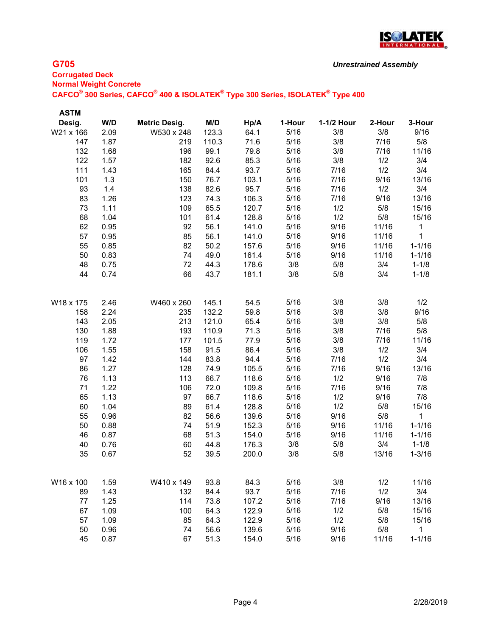

## **G705**

## **Corrugated Deck Normal Weight Concrete CAFCO® 300 Series, CAFCO® 400 & ISOLATEK® Type 300 Series, ISOLATEK® Type 400** *Unrestrained Assembly*

| <b>ASTM</b> |      |                      |       |       |        |            |        |              |
|-------------|------|----------------------|-------|-------|--------|------------|--------|--------------|
| Desig.      | W/D  | <b>Metric Desig.</b> | M/D   | Hp/A  | 1-Hour | 1-1/2 Hour | 2-Hour | 3-Hour       |
| W21 x 166   | 2.09 | W530 x 248           | 123.3 | 64.1  | 5/16   | 3/8        | 3/8    | 9/16         |
| 147         | 1.87 | 219                  | 110.3 | 71.6  | 5/16   | 3/8        | 7/16   | 5/8          |
| 132         | 1.68 | 196                  | 99.1  | 79.8  | 5/16   | 3/8        | 7/16   | 11/16        |
| 122         | 1.57 | 182                  | 92.6  | 85.3  | 5/16   | 3/8        | 1/2    | 3/4          |
| 111         | 1.43 | 165                  | 84.4  | 93.7  | 5/16   | 7/16       | 1/2    | 3/4          |
| 101         | 1.3  | 150                  | 76.7  | 103.1 | 5/16   | 7/16       | 9/16   | 13/16        |
| 93          | 1.4  | 138                  | 82.6  | 95.7  | 5/16   | 7/16       | 1/2    | 3/4          |
| 83          | 1.26 | 123                  | 74.3  | 106.3 | 5/16   | 7/16       | 9/16   | 13/16        |
| 73          | 1.11 | 109                  | 65.5  | 120.7 | 5/16   | 1/2        | 5/8    | 15/16        |
| 68          | 1.04 | 101                  | 61.4  | 128.8 | 5/16   | 1/2        | 5/8    | 15/16        |
| 62          | 0.95 | 92                   | 56.1  | 141.0 | 5/16   | 9/16       | 11/16  | 1            |
| 57          | 0.95 | 85                   | 56.1  | 141.0 | 5/16   | 9/16       | 11/16  | 1            |
| 55          | 0.85 | 82                   | 50.2  | 157.6 | 5/16   | 9/16       | 11/16  | $1 - 1/16$   |
| 50          | 0.83 | 74                   | 49.0  | 161.4 | 5/16   | 9/16       | 11/16  | $1 - 1/16$   |
| 48          | 0.75 | 72                   | 44.3  | 178.6 | 3/8    | 5/8        | 3/4    | $1 - 1/8$    |
| 44          | 0.74 | 66                   | 43.7  | 181.1 | 3/8    | 5/8        | 3/4    | $1 - 1/8$    |
|             |      |                      |       |       |        |            |        |              |
| W18 x 175   | 2.46 | W460 x 260           | 145.1 | 54.5  | 5/16   | 3/8        | 3/8    | 1/2          |
| 158         | 2.24 | 235                  | 132.2 | 59.8  | 5/16   | 3/8        | 3/8    | 9/16         |
| 143         | 2.05 | 213                  | 121.0 | 65.4  | 5/16   | 3/8        | 3/8    | 5/8          |
| 130         | 1.88 | 193                  | 110.9 | 71.3  | 5/16   | 3/8        | 7/16   | 5/8          |
| 119         | 1.72 | 177                  | 101.5 | 77.9  | 5/16   | 3/8        | 7/16   | 11/16        |
| 106         | 1.55 | 158                  | 91.5  | 86.4  | 5/16   | 3/8        | 1/2    | 3/4          |
| 97          | 1.42 | 144                  | 83.8  | 94.4  | 5/16   | 7/16       | 1/2    | 3/4          |
| 86          | 1.27 | 128                  | 74.9  | 105.5 | 5/16   | 7/16       | 9/16   | 13/16        |
| 76          | 1.13 | 113                  | 66.7  | 118.6 | 5/16   | 1/2        | 9/16   | 7/8          |
| 71          | 1.22 | 106                  | 72.0  | 109.8 | 5/16   | 7/16       | 9/16   | 7/8          |
| 65          | 1.13 | 97                   | 66.7  | 118.6 | 5/16   | 1/2        | 9/16   | 7/8          |
| 60          | 1.04 | 89                   | 61.4  | 128.8 | 5/16   | 1/2        | 5/8    | 15/16        |
| 55          | 0.96 | 82                   | 56.6  | 139.6 | 5/16   | 9/16       | 5/8    | 1            |
| 50          | 0.88 | 74                   | 51.9  | 152.3 | 5/16   | 9/16       | 11/16  | $1 - 1/16$   |
| 46          | 0.87 | 68                   | 51.3  | 154.0 | 5/16   | 9/16       | 11/16  | $1 - 1/16$   |
| 40          | 0.76 | 60                   | 44.8  | 176.3 | 3/8    | 5/8        | 3/4    | $1 - 1/8$    |
| 35          | 0.67 | 52                   | 39.5  | 200.0 | 3/8    | 5/8        | 13/16  | $1 - 3/16$   |
|             |      |                      |       |       |        |            |        |              |
| W16 x 100   | 1.59 | W410 x 149           | 93.8  | 84.3  | 5/16   | 3/8        | 1/2    | 11/16        |
| 89          | 1.43 | 132                  | 84.4  | 93.7  | 5/16   | 7/16       | 1/2    | 3/4          |
| 77          | 1.25 | 114                  | 73.8  | 107.2 | 5/16   | 7/16       | 9/16   | 13/16        |
| 67          | 1.09 | 100                  | 64.3  | 122.9 | 5/16   | 1/2        | 5/8    | 15/16        |
| 57          | 1.09 | 85                   | 64.3  | 122.9 | 5/16   | 1/2        | 5/8    | 15/16        |
| 50          | 0.96 | 74                   | 56.6  | 139.6 | 5/16   | 9/16       | 5/8    | $\mathbf{1}$ |
| 45          | 0.87 | 67                   | 51.3  | 154.0 | 5/16   | 9/16       | 11/16  | $1 - 1/16$   |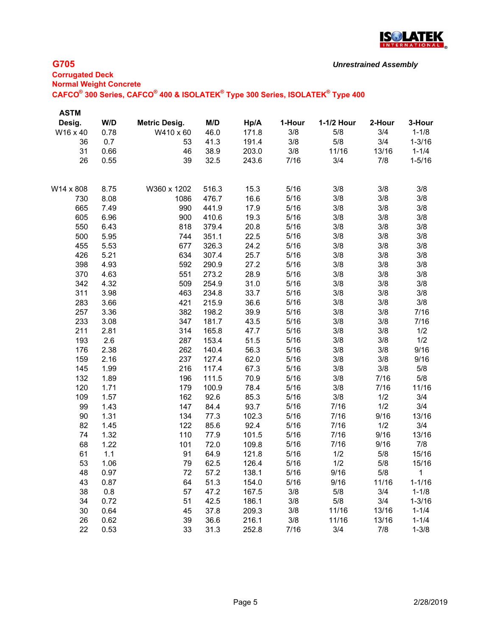

## **G705**

**Corrugated Deck Normal Weight Concrete CAFCO® 300 Series, CAFCO® 400 & ISOLATEK® Type 300 Series, ISOLATEK® Type 400**

| <b>ASTM</b> |      |                      |       |       |        |            |        |              |
|-------------|------|----------------------|-------|-------|--------|------------|--------|--------------|
| Desig.      | W/D  | <b>Metric Desig.</b> | M/D   | Hp/A  | 1-Hour | 1-1/2 Hour | 2-Hour | 3-Hour       |
| W16 x 40    | 0.78 | W410 x 60            | 46.0  | 171.8 | 3/8    | 5/8        | 3/4    | $1 - 1/8$    |
| 36          | 0.7  | 53                   | 41.3  | 191.4 | 3/8    | 5/8        | 3/4    | $1 - 3/16$   |
| 31          | 0.66 | 46                   | 38.9  | 203.0 | 3/8    | 11/16      | 13/16  | $1 - 1/4$    |
| 26          | 0.55 | 39                   | 32.5  | 243.6 | 7/16   | 3/4        | 7/8    | $1 - 5/16$   |
|             |      |                      |       |       |        |            |        |              |
| W14 x 808   | 8.75 | W360 x 1202          | 516.3 | 15.3  | 5/16   | 3/8        | 3/8    | 3/8          |
| 730         | 8.08 | 1086                 | 476.7 | 16.6  | 5/16   | 3/8        | 3/8    | 3/8          |
| 665         | 7.49 | 990                  | 441.9 | 17.9  | 5/16   | 3/8        | 3/8    | 3/8          |
| 605         | 6.96 | 900                  | 410.6 | 19.3  | 5/16   | 3/8        | 3/8    | 3/8          |
| 550         | 6.43 | 818                  | 379.4 | 20.8  | 5/16   | 3/8        | 3/8    | 3/8          |
| 500         | 5.95 | 744                  | 351.1 | 22.5  | 5/16   | 3/8        | 3/8    | 3/8          |
| 455         | 5.53 | 677                  | 326.3 | 24.2  | 5/16   | 3/8        | 3/8    | 3/8          |
| 426         | 5.21 | 634                  | 307.4 | 25.7  | 5/16   | 3/8        | 3/8    | 3/8          |
| 398         | 4.93 | 592                  | 290.9 | 27.2  | 5/16   | 3/8        | 3/8    | 3/8          |
| 370         | 4.63 | 551                  | 273.2 | 28.9  | 5/16   | 3/8        | 3/8    | 3/8          |
| 342         | 4.32 | 509                  | 254.9 | 31.0  | 5/16   | 3/8        | 3/8    | 3/8          |
| 311         | 3.98 | 463                  | 234.8 | 33.7  | 5/16   | 3/8        | 3/8    | 3/8          |
| 283         | 3.66 | 421                  | 215.9 | 36.6  | 5/16   | 3/8        | 3/8    | 3/8          |
| 257         | 3.36 | 382                  | 198.2 | 39.9  | 5/16   | 3/8        | 3/8    | 7/16         |
| 233         | 3.08 | 347                  | 181.7 | 43.5  | 5/16   | 3/8        | 3/8    | 7/16         |
| 211         | 2.81 | 314                  | 165.8 | 47.7  | 5/16   | 3/8        | 3/8    | 1/2          |
| 193         | 2.6  | 287                  | 153.4 | 51.5  | 5/16   | 3/8        | 3/8    | 1/2          |
| 176         | 2.38 | 262                  | 140.4 | 56.3  | 5/16   | 3/8        | 3/8    | 9/16         |
| 159         | 2.16 | 237                  | 127.4 | 62.0  | 5/16   | 3/8        | 3/8    | 9/16         |
| 145         | 1.99 | 216                  | 117.4 | 67.3  | 5/16   | 3/8        | 3/8    | 5/8          |
| 132         | 1.89 | 196                  | 111.5 | 70.9  | 5/16   | 3/8        | 7/16   | 5/8          |
| 120         | 1.71 | 179                  | 100.9 | 78.4  | 5/16   | 3/8        | 7/16   | 11/16        |
| 109         | 1.57 | 162                  | 92.6  | 85.3  | 5/16   | 3/8        | 1/2    | 3/4          |
| 99          | 1.43 | 147                  | 84.4  | 93.7  | 5/16   | 7/16       | 1/2    | 3/4          |
| 90          | 1.31 | 134                  | 77.3  | 102.3 | 5/16   | 7/16       | 9/16   | 13/16        |
| 82          | 1.45 | 122                  | 85.6  | 92.4  | 5/16   | 7/16       | 1/2    | 3/4          |
| 74          | 1.32 | 110                  | 77.9  | 101.5 | 5/16   | 7/16       | 9/16   | 13/16        |
| 68          | 1.22 | 101                  | 72.0  | 109.8 | 5/16   | 7/16       | 9/16   | 7/8          |
| 61          | 1.1  | 91                   | 64.9  | 121.8 | 5/16   | 1/2        | 5/8    | 15/16        |
| 53          | 1.06 | 79                   | 62.5  | 126.4 | 5/16   | 1/2        | 5/8    | 15/16        |
| 48          | 0.97 | 72                   | 57.2  | 138.1 | 5/16   | 9/16       | 5/8    | $\mathbf{1}$ |
| 43          | 0.87 | 64                   | 51.3  | 154.0 | 5/16   | 9/16       | 11/16  | $1 - 1/16$   |
| 38          | 0.8  | 57                   | 47.2  | 167.5 | 3/8    | 5/8        | 3/4    | $1 - 1/8$    |
| 34          | 0.72 | 51                   | 42.5  | 186.1 | 3/8    | 5/8        | 3/4    | $1 - 3/16$   |
| 30          | 0.64 | 45                   | 37.8  | 209.3 | 3/8    | 11/16      | 13/16  | $1 - 1/4$    |
| 26          | 0.62 | 39                   | 36.6  | 216.1 | 3/8    | 11/16      | 13/16  | $1 - 1/4$    |
| 22          | 0.53 | 33                   | 31.3  | 252.8 | 7/16   | 3/4        | 7/8    | $1 - 3/8$    |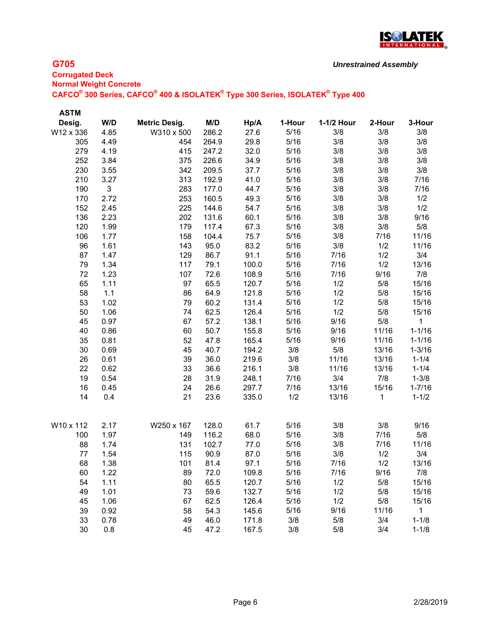

## **G705**

## **Corrugated Deck Normal Weight Concrete CAFCO® 300 Series, CAFCO® 400 & ISOLATEK® Type 300 Series, ISOLATEK® Type 400** *Unrestrained Assembly*

| <b>ASTM</b> |      |                      |       |       |        |            |        |            |
|-------------|------|----------------------|-------|-------|--------|------------|--------|------------|
| Desig.      | W/D  | <b>Metric Desig.</b> | M/D   | Hp/A  | 1-Hour | 1-1/2 Hour | 2-Hour | 3-Hour     |
| W12 x 336   | 4.85 | W310 x 500           | 286.2 | 27.6  | 5/16   | 3/8        | 3/8    | 3/8        |
| 305         | 4.49 | 454                  | 264.9 | 29.8  | 5/16   | 3/8        | 3/8    | 3/8        |
| 279         | 4.19 | 415                  | 247.2 | 32.0  | 5/16   | 3/8        | 3/8    | 3/8        |
| 252         | 3.84 | 375                  | 226.6 | 34.9  | 5/16   | 3/8        | 3/8    | 3/8        |
| 230         | 3.55 | 342                  | 209.5 | 37.7  | 5/16   | 3/8        | 3/8    | 3/8        |
| 210         | 3.27 | 313                  | 192.9 | 41.0  | 5/16   | 3/8        | 3/8    | 7/16       |
| 190         | 3    | 283                  | 177.0 | 44.7  | 5/16   | 3/8        | 3/8    | 7/16       |
| 170         | 2.72 | 253                  | 160.5 | 49.3  | 5/16   | 3/8        | 3/8    | 1/2        |
| 152         | 2.45 | 225                  | 144.6 | 54.7  | 5/16   | 3/8        | 3/8    | 1/2        |
| 136         | 2.23 | 202                  | 131.6 | 60.1  | 5/16   | 3/8        | 3/8    | 9/16       |
| 120         | 1.99 | 179                  | 117.4 | 67.3  | 5/16   | 3/8        | 3/8    | 5/8        |
| 106         | 1.77 | 158                  | 104.4 | 75.7  | 5/16   | 3/8        | 7/16   | 11/16      |
| 96          | 1.61 | 143                  | 95.0  | 83.2  | 5/16   | 3/8        | 1/2    | 11/16      |
| 87          | 1.47 | 129                  | 86.7  | 91.1  | 5/16   | 7/16       | 1/2    | 3/4        |
| 79          | 1.34 | 117                  | 79.1  | 100.0 | 5/16   | 7/16       | 1/2    | 13/16      |
| 72          | 1.23 | 107                  | 72.6  | 108.9 | 5/16   | 7/16       | 9/16   | 7/8        |
| 65          | 1.11 | 97                   | 65.5  | 120.7 | 5/16   | 1/2        | 5/8    | 15/16      |
| 58          | 1.1  | 86                   | 64.9  | 121.8 | 5/16   | 1/2        | 5/8    | 15/16      |
| 53          | 1.02 | 79                   | 60.2  | 131.4 | 5/16   | 1/2        | 5/8    | 15/16      |
| 50          | 1.06 | 74                   | 62.5  | 126.4 | 5/16   | 1/2        | 5/8    | 15/16      |
| 45          | 0.97 | 67                   | 57.2  | 138.1 | 5/16   | 9/16       | 5/8    | 1          |
| 40          | 0.86 | 60                   | 50.7  | 155.8 | 5/16   | 9/16       | 11/16  | $1 - 1/16$ |
| 35          | 0.81 | 52                   | 47.8  | 165.4 | 5/16   | 9/16       | 11/16  | $1 - 1/16$ |
| 30          | 0.69 | 45                   | 40.7  | 194.2 | 3/8    | 5/8        | 13/16  | $1 - 3/16$ |
| 26          | 0.61 | 39                   | 36.0  | 219.6 | 3/8    | 11/16      | 13/16  | $1 - 1/4$  |
| 22          | 0.62 | 33                   | 36.6  | 216.1 | 3/8    | 11/16      | 13/16  | $1 - 1/4$  |
| 19          | 0.54 | 28                   | 31.9  | 248.1 | 7/16   | 3/4        | 7/8    | $1 - 3/8$  |
| 16          | 0.45 | 24                   | 26.6  | 297.7 | 7/16   | 13/16      | 15/16  | $1 - 7/16$ |
| 14          | 0.4  | 21                   | 23.6  | 335.0 | 1/2    | 13/16      | 1      | $1 - 1/2$  |
| W10 x 112   | 2.17 | W250 x 167           | 128.0 | 61.7  | 5/16   | 3/8        | 3/8    | 9/16       |
| 100         | 1.97 | 149                  | 116.2 | 68.0  | 5/16   | 3/8        | 7/16   | 5/8        |
| 88          | 1.74 | 131                  | 102.7 | 77.0  | 5/16   | 3/8        | 7/16   | 11/16      |
| 77          | 1.54 | 115                  | 90.9  | 87.0  | 5/16   | 3/8        | 1/2    | 3/4        |
| 68          | 1.38 | 101                  | 81.4  | 97.1  | 5/16   | 7/16       | 1/2    | 13/16      |
| 60          | 1.22 | 89                   | 72.0  | 109.8 | 5/16   | 7/16       | 9/16   | 7/8        |
| 54          | 1.11 | 80                   | 65.5  | 120.7 | 5/16   | 1/2        | 5/8    | 15/16      |
| 49          | 1.01 | 73                   | 59.6  | 132.7 | 5/16   | 1/2        | 5/8    | 15/16      |
| 45          | 1.06 | 67                   | 62.5  | 126.4 | 5/16   | 1/2        | 5/8    | 15/16      |
| 39          | 0.92 | 58                   | 54.3  | 145.6 | 5/16   | 9/16       | 11/16  | 1          |
| 33          | 0.78 | 49                   | 46.0  | 171.8 | 3/8    | 5/8        | 3/4    | $1 - 1/8$  |
| 30          | 0.8  | 45                   | 47.2  | 167.5 | 3/8    | 5/8        | 3/4    | $1 - 1/8$  |